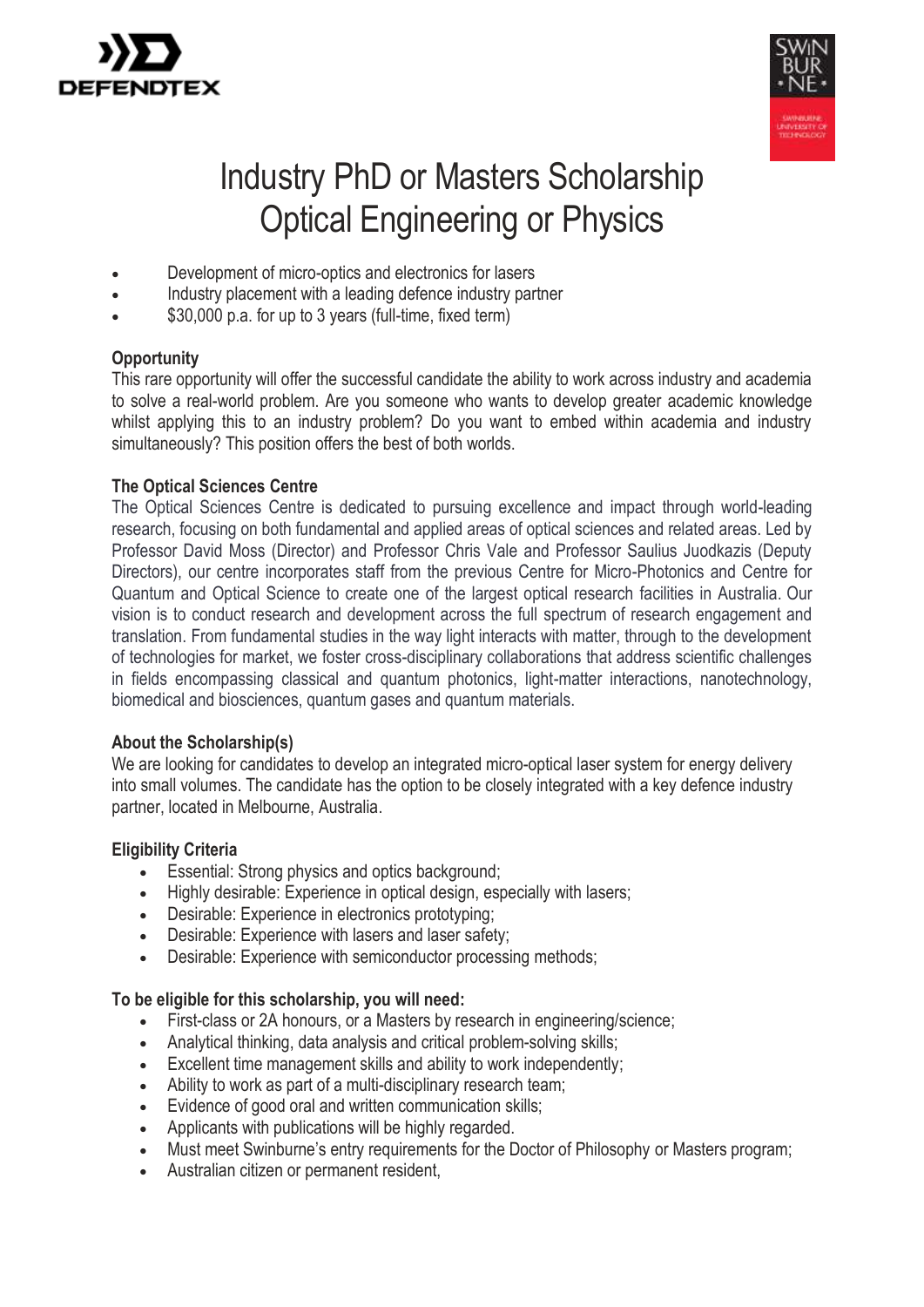



# Industry PhD or Masters Scholarship Optical Engineering or Physics

- Development of micro-optics and electronics for lasers
- Industry placement with a leading defence industry partner
- \$30,000 p.a. for up to 3 years (full-time, fixed term)

## **Opportunity**

This rare opportunity will offer the successful candidate the ability to work across industry and academia to solve a real-world problem. Are you someone who wants to develop greater academic knowledge whilst applying this to an industry problem? Do you want to embed within academia and industry simultaneously? This position offers the best of both worlds.

## **The Optical Sciences Centre**

The Optical Sciences Centre is dedicated to pursuing excellence and impact through world-leading research, focusing on both fundamental and applied areas of optical sciences and related areas. Led by Professor David Moss (Director) and Professor Chris Vale and Professor Saulius Juodkazis (Deputy Directors), our centre incorporates staff from the previous Centre for Micro-Photonics and Centre for Quantum and Optical Science to create one of the largest optical research facilities in Australia. Our vision is to conduct research and development across the full spectrum of research engagement and translation. From fundamental studies in the way light interacts with matter, through to the development of technologies for market, we foster cross-disciplinary collaborations that address scientific challenges in fields encompassing classical and quantum photonics, light-matter interactions, nanotechnology, biomedical and biosciences, quantum gases and quantum materials.

## **About the Scholarship(s)**

We are looking for candidates to develop an integrated micro-optical laser system for energy delivery into small volumes. The candidate has the option to be closely integrated with a key defence industry partner, located in Melbourne, Australia.

## **Eligibility Criteria**

- Essential: Strong physics and optics background;
- Highly desirable: Experience in optical design, especially with lasers:
- Desirable: Experience in electronics prototyping;
- Desirable: Experience with lasers and laser safety;
- Desirable: Experience with semiconductor processing methods;

## **To be eligible for this scholarship, you will need:**

- First-class or 2A honours, or a Masters by research in engineering/science;
- Analytical thinking, data analysis and critical problem-solving skills;
- Excellent time management skills and ability to work independently;
- Ability to work as part of a multi-disciplinary research team;
- Evidence of good oral and written communication skills;
- Applicants with publications will be highly regarded.
- Must meet Swinburne's entry requirements for the Doctor of Philosophy or Masters program:
- Australian citizen or permanent resident,